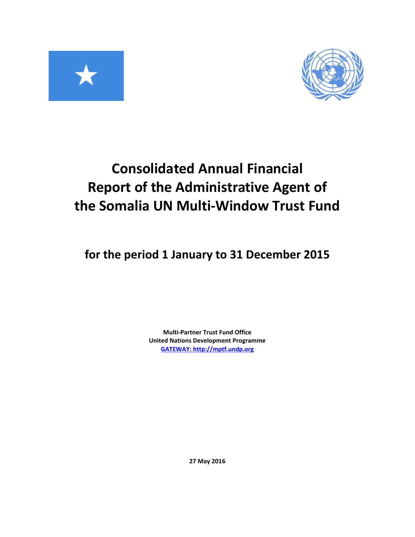



# **Consolidated Annual Financial Report of the Administrative Agent of the Somalia UN Multi-Window Trust Fund**

# **for the period 1 January to 31 December 2015**

**Multi-Partner Trust Fund Office United Nations Development Programme [GATEWAY: http://mptf.undp.org](http://mptf.undp.org/)**

**27 May 2016**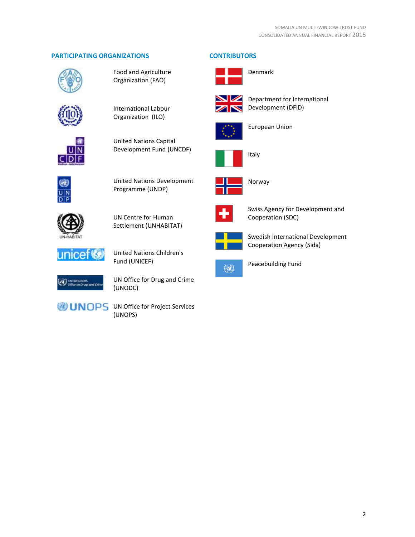# **PARTICIPATING ORGANIZATIONS CONTRIBUTORS**



Food and Agriculture Organization (FAO)



International Labour Organization (ILO)



United Nations Capital Development Fund (UNCDF)



United Nations Development Programme (UNDP)



UN Centre for Human Settlement (UNHABITAT)



United Nations Children's Fund (UNICEF)



UN Office for Drug and Crime (UNODC)

**UNOPS** UN Office for Project Services (UNOPS)



Denmark



Department for International Development (DFID)



European Union





Norway

Italy



Swiss Agency for Development and Cooperation (SDC)



Swedish International Development Cooperation Agency (Sida)



Peacebuilding Fund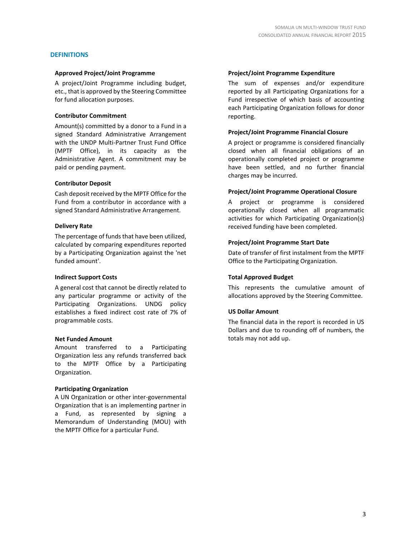# **DEFINITIONS**

#### **Approved Project/Joint Programme**

A project/Joint Programme including budget, etc., that is approved by the Steering Committee for fund allocation purposes.

# **Contributor Commitment**

Amount(s) committed by a donor to a Fund in a signed Standard Administrative Arrangement with the UNDP Multi-Partner Trust Fund Office (MPTF Office), in its capacity as the Administrative Agent. A commitment may be paid or pending payment.

#### **Contributor Deposit**

Cash deposit received by the MPTF Office for the Fund from a contributor in accordance with a signed Standard Administrative Arrangement.

#### **Delivery Rate**

The percentage of funds that have been utilized, calculated by comparing expenditures reported by a Participating Organization against the 'net funded amount'.

#### **Indirect Support Costs**

A general cost that cannot be directly related to any particular programme or activity of the Participating Organizations. UNDG policy establishes a fixed indirect cost rate of 7% of programmable costs.

# **Net Funded Amount**

Amount transferred to a Participating Organization less any refunds transferred back to the MPTF Office by a Participating Organization.

# **Participating Organization**

A UN Organization or other inter-governmental Organization that is an implementing partner in a Fund, as represented by signing a Memorandum of Understanding (MOU) with the MPTF Office for a particular Fund.

#### **Project/Joint Programme Expenditure**

The sum of expenses and/or expenditure reported by all Participating Organizations for a Fund irrespective of which basis of accounting each Participating Organization follows for donor reporting.

# **Project/Joint Programme Financial Closure**

A project or programme is considered financially closed when all financial obligations of an operationally completed project or programme have been settled, and no further financial charges may be incurred.

#### **Project/Joint Programme Operational Closure**

A project or programme is considered operationally closed when all programmatic activities for which Participating Organization(s) received funding have been completed.

# **Project/Joint Programme Start Date**

Date of transfer of first instalment from the MPTF Office to the Participating Organization.

#### **Total Approved Budget**

This represents the cumulative amount of allocations approved by the Steering Committee.

# **US Dollar Amount**

The financial data in the report is recorded in US Dollars and due to rounding off of numbers, the totals may not add up.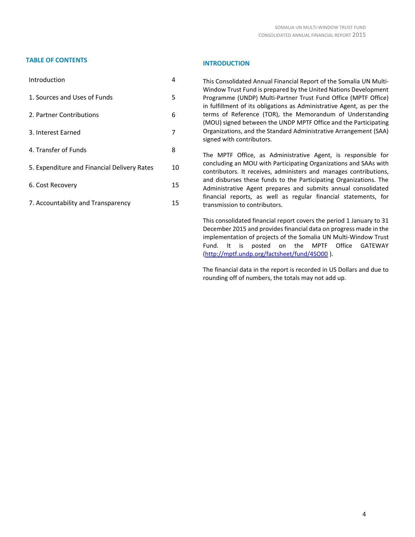# **TABLE OF CONTENTS INTRODUCTION**

| Introduction                                | 4  |
|---------------------------------------------|----|
| 1. Sources and Uses of Funds                | 5  |
| 2. Partner Contributions                    | 6  |
| 3. Interest Earned                          | 7  |
| 4. Transfer of Funds                        | 8  |
| 5. Expenditure and Financial Delivery Rates | 10 |
| 6. Cost Recovery                            | 15 |
| 7. Accountability and Transparency          | 15 |

This Consolidated Annual Financial Report of the Somalia UN Multi-Window Trust Fund is prepared by the United Nations Development Programme (UNDP) Multi-Partner Trust Fund Office (MPTF Office) in fulfillment of its obligations as Administrative Agent, as per the terms of Reference (TOR), the Memorandum of Understanding (MOU) signed between the UNDP MPTF Office and the Participating Organizations, and the Standard Administrative Arrangement (SAA) signed with contributors.

The MPTF Office, as Administrative Agent, is responsible for concluding an MOU with Participating Organizations and SAAs with contributors. It receives, administers and manages contributions, and disburses these funds to the Participating Organizations. The Administrative Agent prepares and submits annual consolidated financial reports, as well as regular financial statements, for transmission to contributors.

This consolidated financial report covers the period 1 January to 31 December 2015 and provides financial data on progress made in the implementation of projects of the Somalia UN Multi-Window Trust Fund. It is posted on the MPTF Office GATEWAY [\(http://mptf.undp.org/factsheet/fund/4SO00](http://mptf.undp.org/factsheet/fund/4SO00) ).

The financial data in the report is recorded in US Dollars and due to rounding off of numbers, the totals may not add up.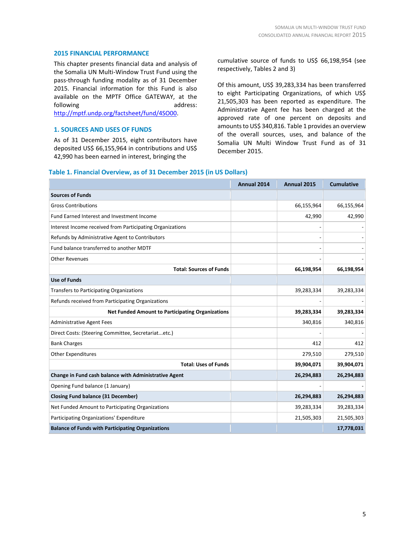## **2015 FINANCIAL PERFORMANCE**

This chapter presents financial data and analysis of the Somalia UN Multi-Window Trust Fund using the pass-through funding modality as of 31 December 2015. Financial information for this Fund is also available on the MPTF Office GATEWAY, at the following address:

[http://mptf.undp.org/factsheet/fund/4SO00.](http://mptf.undp.org/factsheet/fund/4SO00)

# **1. SOURCES AND USES OF FUNDS**

As of 31 December 2015, eight contributors have deposited US\$ 66,155,964 in contributions and US\$ 42,990 has been earned in interest, bringing the

cumulative source of funds to US\$ 66,198,954 (see respectively, Tables 2 and 3)

Of this amount, US\$ 39,283,334 has been transferred to eight Participating Organizations, of which US\$ 21,505,303 has been reported as expenditure. The Administrative Agent fee has been charged at the approved rate of one percent on deposits and amounts to US\$ 340,816. Table 1 provides an overview of the overall sources, uses, and balance of the Somalia UN Multi Window Trust Fund as of 31 December 2015.

#### **Table 1. Financial Overview, as of 31 December 2015 (in US Dollars)**

|                                                           | Annual 2014 | Annual 2015 | <b>Cumulative</b> |
|-----------------------------------------------------------|-------------|-------------|-------------------|
| <b>Sources of Funds</b>                                   |             |             |                   |
| <b>Gross Contributions</b>                                |             | 66,155,964  | 66,155,964        |
| Fund Earned Interest and Investment Income                |             | 42,990      | 42,990            |
| Interest Income received from Participating Organizations |             |             |                   |
| Refunds by Administrative Agent to Contributors           |             |             |                   |
| Fund balance transferred to another MDTF                  |             |             |                   |
| <b>Other Revenues</b>                                     |             |             |                   |
| <b>Total: Sources of Funds</b>                            |             | 66,198,954  | 66,198,954        |
| <b>Use of Funds</b>                                       |             |             |                   |
| Transfers to Participating Organizations                  |             | 39,283,334  | 39,283,334        |
| Refunds received from Participating Organizations         |             |             |                   |
| <b>Net Funded Amount to Participating Organizations</b>   |             | 39,283,334  | 39,283,334        |
| <b>Administrative Agent Fees</b>                          |             | 340,816     | 340,816           |
| Direct Costs: (Steering Committee, Secretariatetc.)       |             |             |                   |
| <b>Bank Charges</b>                                       |             | 412         | 412               |
| <b>Other Expenditures</b>                                 |             | 279,510     | 279,510           |
| <b>Total: Uses of Funds</b>                               |             | 39,904,071  | 39,904,071        |
| Change in Fund cash balance with Administrative Agent     |             | 26,294,883  | 26,294,883        |
| Opening Fund balance (1 January)                          |             |             |                   |
| <b>Closing Fund balance (31 December)</b>                 |             | 26,294,883  | 26,294,883        |
| Net Funded Amount to Participating Organizations          |             | 39,283,334  | 39,283,334        |
| Participating Organizations' Expenditure                  |             | 21,505,303  | 21,505,303        |
| <b>Balance of Funds with Participating Organizations</b>  |             |             | 17,778,031        |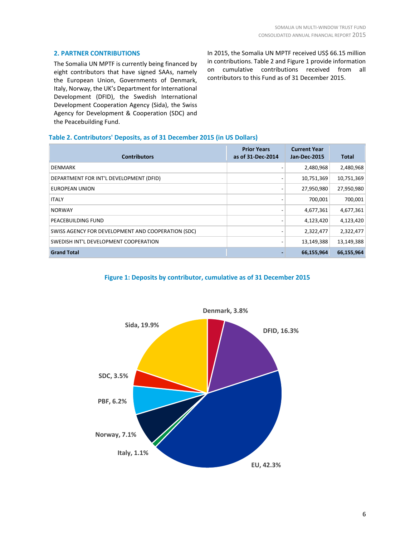# **2. PARTNER CONTRIBUTIONS**

The Somalia UN MPTF is currently being financed by eight contributors that have signed SAAs, namely the European Union, Governments of Denmark, Italy, Norway, the UK's Department for International Development (DFID), the Swedish International Development Cooperation Agency (Sida), the Swiss Agency for Development & Cooperation (SDC) and the Peacebuilding Fund.

In 2015, the Somalia UN MPTF received US\$ 66.15 million in contributions. Table 2 and Figure 1 provide information on cumulative contributions received from all contributors to this Fund as of 31 December 2015.

# **Table 2. Contributors' Deposits, as of 31 December 2015 (in US Dollars)**

| <b>Contributors</b>                                | <b>Prior Years</b><br>as of 31-Dec-2014 | <b>Current Year</b><br><b>Jan-Dec-2015</b> | <b>Total</b> |
|----------------------------------------------------|-----------------------------------------|--------------------------------------------|--------------|
| <b>DENMARK</b>                                     |                                         | 2,480,968                                  | 2,480,968    |
| DEPARTMENT FOR INT'L DEVELOPMENT (DFID)            |                                         | 10,751,369                                 | 10,751,369   |
| EUROPEAN UNION                                     |                                         | 27,950,980                                 | 27,950,980   |
| <b>ITALY</b>                                       |                                         | 700,001                                    | 700,001      |
| <b>NORWAY</b>                                      |                                         | 4,677,361                                  | 4,677,361    |
| PEACEBUILDING FUND                                 |                                         | 4,123,420                                  | 4,123,420    |
| SWISS AGENCY FOR DEVELOPMENT AND COOPERATION (SDC) |                                         | 2,322,477                                  | 2,322,477    |
| SWEDISH INT'L DEVELOPMENT COOPERATION              |                                         | 13,149,388                                 | 13,149,388   |
| <b>Grand Total</b>                                 |                                         | 66,155,964                                 | 66,155,964   |

## **Figure 1: Deposits by contributor, cumulative as of 31 December 2015**

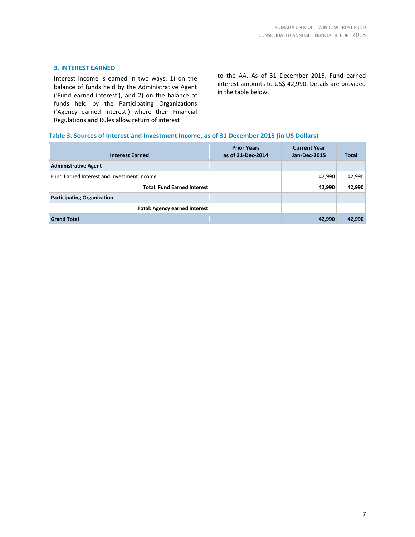# **3. INTEREST EARNED**

Interest income is earned in two ways: 1) on the balance of funds held by the Administrative Agent ('Fund earned interest'), and 2) on the balance of funds held by the Participating Organizations ('Agency earned interest') where their Financial Regulations and Rules allow return of interest

to the AA. As of 31 December 2015, Fund earned interest amounts to US\$ 42,990. Details are provided in the table below.

# **Table 3. Sources of Interest and Investment Income, as of 31 December 2015 (in US Dollars)**

| <b>Interest Earned</b>                     | <b>Prior Years</b><br>as of 31-Dec-2014 | <b>Current Year</b><br><b>Jan-Dec-2015</b> | <b>Total</b> |
|--------------------------------------------|-----------------------------------------|--------------------------------------------|--------------|
| <b>Administrative Agent</b>                |                                         |                                            |              |
| Fund Earned Interest and Investment Income |                                         | 42,990                                     | 42,990       |
| <b>Total: Fund Earned Interest</b>         |                                         | 42,990                                     | 42,990       |
| <b>Participating Organization</b>          |                                         |                                            |              |
| <b>Total: Agency earned interest</b>       |                                         |                                            |              |
| <b>Grand Total</b>                         |                                         | 42,990                                     | 42,990       |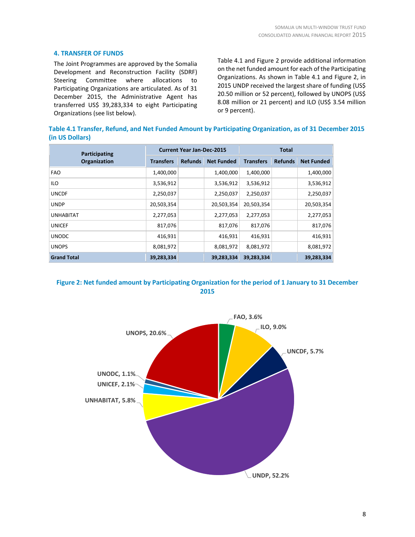# **4. TRANSFER OF FUNDS**

The Joint Programmes are approved by the [Somalia](https://unsom.unmissions.org/Default.aspx?ctl=Details&tabid=6254&mid=9770&ItemID=35902)  [Development and Reconstruction Facility](https://unsom.unmissions.org/Default.aspx?ctl=Details&tabid=6254&mid=9770&ItemID=35902) (SDRF) Steering Committee where allocations to Participating Organizations are articulated. As of 31 December 2015, the Administrative Agent has transferred US\$ 39,283,334 to eight Participating Organizations (see list below).

Table 4.1 and Figure 2 provide additional information on the net funded amount for each of the Participating Organizations. As shown in Table 4.1 and Figure 2, in 2015 UNDP received the largest share of funding (US\$ 20.50 million or 52 percent), followed by UNOPS (US\$ 8.08 million or 21 percent) and ILO (US\$ 3.54 million or 9 percent).

**Table 4.1 Transfer, Refund, and Net Funded Amount by Participating Organization, as of 31 December 2015 (in US Dollars)**

| Participating      | <b>Current Year Jan-Dec-2015</b> |                |                   | <b>Total</b>     |                |                   |
|--------------------|----------------------------------|----------------|-------------------|------------------|----------------|-------------------|
| Organization       | <b>Transfers</b>                 | <b>Refunds</b> | <b>Net Funded</b> | <b>Transfers</b> | <b>Refunds</b> | <b>Net Funded</b> |
| <b>FAO</b>         | 1,400,000                        |                | 1,400,000         | 1,400,000        |                | 1,400,000         |
| <b>ILO</b>         | 3,536,912                        |                | 3,536,912         | 3,536,912        |                | 3,536,912         |
| <b>UNCDF</b>       | 2,250,037                        |                | 2,250,037         | 2,250,037        |                | 2,250,037         |
| <b>UNDP</b>        | 20,503,354                       |                | 20,503,354        | 20,503,354       |                | 20,503,354        |
| <b>UNHABITAT</b>   | 2,277,053                        |                | 2,277,053         | 2,277,053        |                | 2,277,053         |
| <b>UNICEF</b>      | 817,076                          |                | 817,076           | 817,076          |                | 817,076           |
| <b>UNODC</b>       | 416,931                          |                | 416,931           | 416,931          |                | 416,931           |
| <b>UNOPS</b>       | 8,081,972                        |                | 8,081,972         | 8,081,972        |                | 8,081,972         |
| <b>Grand Total</b> | 39,283,334                       |                | 39,283,334        | 39,283,334       |                | 39,283,334        |



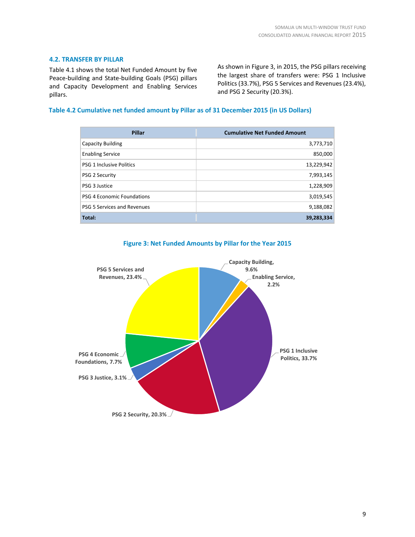# **4.2. TRANSFER BY PILLAR**

Table 4.1 shows the total Net Funded Amount by five Peace-building and State-building Goals (PSG) pillars and Capacity Development and Enabling Services pillars.

As shown in Figure 3, in 2015, the PSG pillars receiving the largest share of transfers were: PSG 1 Inclusive Politics (33.7%), PSG 5 Services and Revenues (23.4%), and PSG 2 Security (20.3%).

# **Table 4.2 Cumulative net funded amount by Pillar as of 31 December 2015 (in US Dollars)**

| Pillar                          | <b>Cumulative Net Funded Amount</b> |
|---------------------------------|-------------------------------------|
| <b>Capacity Building</b>        | 3,773,710                           |
| <b>Enabling Service</b>         | 850,000                             |
| <b>PSG 1 Inclusive Politics</b> | 13,229,942                          |
| <b>PSG 2 Security</b>           | 7,993,145                           |
| PSG 3 Justice                   | 1,228,909                           |
| PSG 4 Economic Foundations      | 3,019,545                           |
| PSG 5 Services and Revenues     | 9,188,082                           |
| Total:                          | 39,283,334                          |



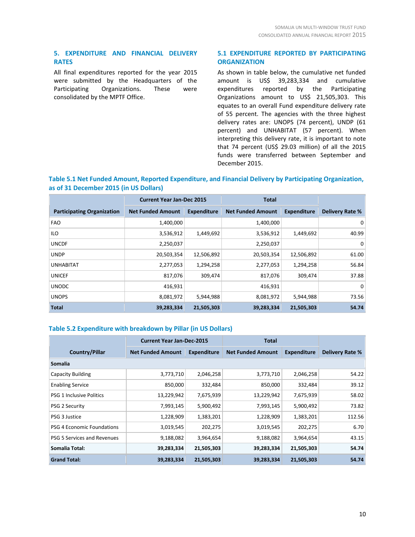# **5. EXPENDITURE AND FINANCIAL DELIVERY RATES**

All final expenditures reported for the year 2015 were submitted by the Headquarters of the Participating Organizations. These were consolidated by the MPTF Office.

# **5.1 EXPENDITURE REPORTED BY PARTICIPATING ORGANIZATION**

As shown in table below, the cumulative net funded amount is US\$ 39,283,334 and cumulative expenditures reported by the Participating Organizations amount to US\$ 21,505,303. This equates to an overall Fund expenditure delivery rate of 55 percent. The agencies with the three highest delivery rates are: UNOPS (74 percent), UNDP (61 percent) and UNHABITAT (57 percent). When interpreting this delivery rate, it is important to note that 74 percent (US\$ 29.03 million) of all the 2015 funds were transferred between September and December 2015.

# **Table 5.1 Net Funded Amount, Reported Expenditure, and Financial Delivery by Participating Organization, as of 31 December 2015 (in US Dollars)**

|                                   | <b>Current Year Jan-Dec 2015</b> |                    | <b>Total</b>             |                    |                        |
|-----------------------------------|----------------------------------|--------------------|--------------------------|--------------------|------------------------|
| <b>Participating Organization</b> | <b>Net Funded Amount</b>         | <b>Expenditure</b> | <b>Net Funded Amount</b> | <b>Expenditure</b> | <b>Delivery Rate %</b> |
| <b>FAO</b>                        | 1,400,000                        |                    | 1,400,000                |                    | 0                      |
| <b>ILO</b>                        | 3,536,912                        | 1,449,692          | 3,536,912                | 1,449,692          | 40.99                  |
| <b>UNCDF</b>                      | 2,250,037                        |                    | 2,250,037                |                    | 0                      |
| <b>UNDP</b>                       | 20,503,354                       | 12,506,892         | 20,503,354               | 12,506,892         | 61.00                  |
| <b>UNHABITAT</b>                  | 2,277,053                        | 1,294,258          | 2,277,053                | 1,294,258          | 56.84                  |
| <b>UNICEF</b>                     | 817,076                          | 309,474            | 817,076                  | 309,474            | 37.88                  |
| <b>UNODC</b>                      | 416,931                          |                    | 416,931                  |                    | 0                      |
| <b>UNOPS</b>                      | 8,081,972                        | 5,944,988          | 8,081,972                | 5,944,988          | 73.56                  |
| <b>Total</b>                      | 39,283,334                       | 21,505,303         | 39,283,334               | 21,505,303         | 54.74                  |

# **Table 5.2 Expenditure with breakdown by Pillar (in US Dollars)**

|                                 | <b>Current Year Jan-Dec-2015</b> |                    | Total                    |                    |                 |  |  |  |
|---------------------------------|----------------------------------|--------------------|--------------------------|--------------------|-----------------|--|--|--|
| <b>Country/Pillar</b>           | <b>Net Funded Amount</b>         | <b>Expenditure</b> | <b>Net Funded Amount</b> | <b>Expenditure</b> | Delivery Rate % |  |  |  |
| <b>Somalia</b>                  |                                  |                    |                          |                    |                 |  |  |  |
| <b>Capacity Building</b>        | 3,773,710                        | 2,046,258          | 3,773,710                | 2,046,258          | 54.22           |  |  |  |
| <b>Enabling Service</b>         | 850,000                          | 332,484            | 850,000                  | 332,484            | 39.12           |  |  |  |
| <b>PSG 1 Inclusive Politics</b> | 13,229,942                       | 7,675,939          | 13,229,942               | 7,675,939          | 58.02           |  |  |  |
| <b>PSG 2 Security</b>           | 7,993,145                        | 5,900,492          | 7,993,145                | 5,900,492          | 73.82           |  |  |  |
| PSG 3 Justice                   | 1,228,909                        | 1,383,201          | 1,228,909                | 1,383,201          | 112.56          |  |  |  |
| PSG 4 Economic Foundations      | 3,019,545                        | 202,275            | 3,019,545                | 202,275            | 6.70            |  |  |  |
| PSG 5 Services and Revenues     | 9,188,082                        | 3,964,654          | 9,188,082                | 3,964,654          | 43.15           |  |  |  |
| Somalia Total:                  | 39,283,334                       | 21,505,303         | 39,283,334               | 21,505,303         | 54.74           |  |  |  |
| <b>Grand Total:</b>             | 39,283,334                       | 21,505,303         | 39,283,334               | 21,505,303         | 54.74           |  |  |  |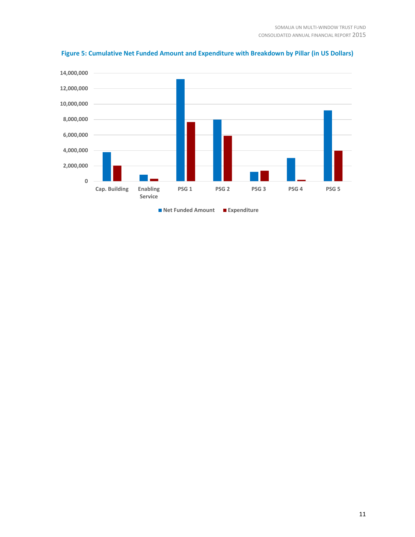

**Figure 5: Cumulative Net Funded Amount and Expenditure with Breakdown by Pillar (in US Dollars)**

11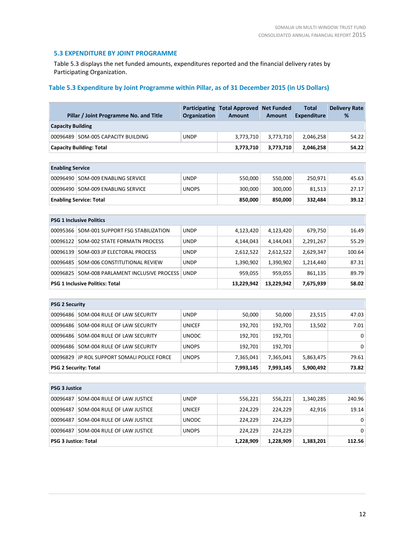# **5.3 EXPENDITURE BY JOINT PROGRAMME**

Table 5.3 displays the net funded amounts, expenditures reported and the financial delivery rates by Participating Organization.

# **Table 5.3 Expenditure by Joint Programme within Pillar, as of 31 December 2015 (in US Dollars)**

|                             | Pillar / Joint Programme No. and Title       | <b>Participating</b><br>Organization | <b>Total Approved</b><br><b>Amount</b> | <b>Net Funded</b><br><b>Amount</b> | <b>Total</b><br><b>Expenditure</b> | <b>Delivery Rate</b><br>% |  |
|-----------------------------|----------------------------------------------|--------------------------------------|----------------------------------------|------------------------------------|------------------------------------|---------------------------|--|
| <b>Capacity Building</b>    |                                              |                                      |                                        |                                    |                                    |                           |  |
|                             | 00096489 SOM-005 CAPACITY BUILDING           | <b>UNDP</b>                          | 3,773,710                              | 3,773,710                          | 2,046,258                          | 54.22                     |  |
|                             | <b>Capacity Building: Total</b>              |                                      | 3,773,710                              | 3,773,710                          | 2,046,258                          | 54.22                     |  |
|                             |                                              |                                      |                                        |                                    |                                    |                           |  |
| <b>Enabling Service</b>     |                                              |                                      |                                        |                                    |                                    |                           |  |
|                             | 00096490 SOM-009 ENABLING SERVICE            | <b>UNDP</b>                          | 550,000                                | 550,000                            | 250,971                            | 45.63                     |  |
| 00096490                    | <b>SOM-009 ENABLING SERVICE</b>              | <b>UNOPS</b>                         | 300,000                                | 300,000                            | 81,513                             | 27.17                     |  |
|                             | <b>Enabling Service: Total</b>               |                                      | 850,000                                | 850,000                            | 332,484                            | 39.12                     |  |
|                             |                                              |                                      |                                        |                                    |                                    |                           |  |
|                             | <b>PSG 1 Inclusive Politics</b>              |                                      |                                        |                                    |                                    |                           |  |
|                             | 00095366   SOM-001 SUPPORT FSG STABILIZATION | <b>UNDP</b>                          | 4,123,420                              | 4,123,420                          | 679,750                            | 16.49                     |  |
| 00096122                    | SOM-002 STATE FORMATN PROCESS                | <b>UNDP</b>                          | 4,144,043                              | 4,144,043                          | 2,291,267                          | 55.29                     |  |
| 00096139                    | SOM-003 JP ELECTORAL PROCESS                 | <b>UNDP</b>                          | 2,612,522                              | 2,612,522                          | 2,629,347                          | 100.64                    |  |
| 00096485                    | SOM-006 CONSTITUTIONAL REVIEW                | <b>UNDP</b>                          | 1,390,902                              | 1,390,902                          | 1,214,440                          | 87.31                     |  |
| 00096825                    | SOM-008 PARLAMENT INCLUSIVE PROCESS          | <b>UNDP</b>                          | 959,055                                | 959,055                            | 861,135                            | 89.79                     |  |
|                             | <b>PSG 1 Inclusive Politics: Total</b>       |                                      | 13,229,942                             | 13,229,942                         | 7,675,939                          | 58.02                     |  |
|                             |                                              |                                      |                                        |                                    |                                    |                           |  |
| <b>PSG 2 Security</b>       |                                              |                                      |                                        |                                    |                                    |                           |  |
| 00096486                    | SOM-004 RULE OF LAW SECURITY                 | <b>UNDP</b>                          | 50,000                                 | 50,000                             | 23,515                             | 47.03                     |  |
| 00096486                    | SOM-004 RULE OF LAW SECURITY                 | <b>UNICEF</b>                        | 192,701                                | 192,701                            | 13,502                             | 7.01                      |  |
| 00096486                    | SOM-004 RULE OF LAW SECURITY                 | <b>UNODC</b>                         | 192,701                                | 192,701                            |                                    | $\mathbf 0$               |  |
| 00096486                    | SOM-004 RULE OF LAW SECURITY                 | <b>UNOPS</b>                         | 192,701                                | 192,701                            |                                    | $\Omega$                  |  |
| 00096829                    | JP ROL SUPPORT SOMALI POLICE FORCE           | <b>UNOPS</b>                         | 7,365,041                              | 7,365,041                          | 5,863,475                          | 79.61                     |  |
|                             | <b>PSG 2 Security: Total</b>                 |                                      | 7,993,145                              | 7,993,145                          | 5,900,492                          | 73.82                     |  |
|                             |                                              |                                      |                                        |                                    |                                    |                           |  |
| <b>PSG 3 Justice</b>        |                                              |                                      |                                        |                                    |                                    |                           |  |
| 00096487                    | SOM-004 RULE OF LAW JUSTICE                  | <b>UNDP</b>                          | 556,221                                | 556,221                            | 1,340,285                          | 240.96                    |  |
| 00096487                    | SOM-004 RULE OF LAW JUSTICE                  | <b>UNICEF</b>                        | 224,229                                | 224,229                            | 42,916                             | 19.14                     |  |
| 00096487                    | SOM-004 RULE OF LAW JUSTICE                  | <b>UNODC</b>                         | 224,229                                | 224,229                            |                                    | 0                         |  |
| 00096487                    | SOM-004 RULE OF LAW JUSTICE                  | <b>UNOPS</b>                         | 224,229                                | 224,229                            |                                    | $\mathbf 0$               |  |
| <b>PSG 3 Justice: Total</b> |                                              |                                      | 1,228,909                              | 1,228,909                          | 1,383,201                          | 112.56                    |  |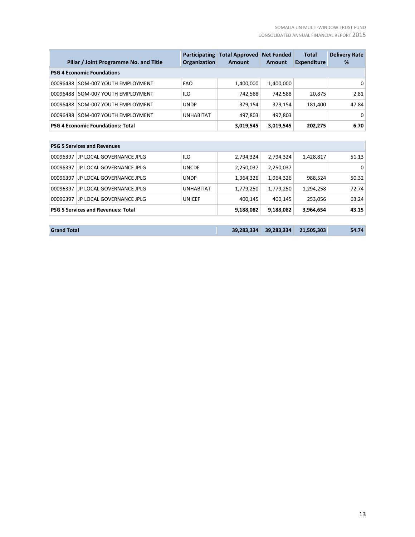|                                           | Pillar / Joint Programme No. and Title   | Participating<br>Organization | <b>Total Approved</b><br><b>Amount</b> | <b>Net Funded</b><br><b>Amount</b> | <b>Total</b><br><b>Expenditure</b> | <b>Delivery Rate</b><br>% |  |  |
|-------------------------------------------|------------------------------------------|-------------------------------|----------------------------------------|------------------------------------|------------------------------------|---------------------------|--|--|
|                                           | <b>PSG 4 Economic Foundations</b>        |                               |                                        |                                    |                                    |                           |  |  |
| 00096488                                  | SOM-007 YOUTH EMPLOYMENT                 | <b>FAO</b>                    | 1,400,000                              | 1,400,000                          |                                    | 0                         |  |  |
| 00096488                                  | SOM-007 YOUTH EMPLOYMENT                 | ILO                           | 742,588                                | 742,588                            | 20,875                             | 2.81                      |  |  |
| 00096488                                  | SOM-007 YOUTH EMPLOYMENT                 | <b>UNDP</b>                   | 379,154                                | 379,154                            | 181,400                            | 47.84                     |  |  |
| 00096488                                  | SOM-007 YOUTH EMPLOYMENT                 | <b>UNHABITAT</b>              | 497,803                                | 497,803                            |                                    | 0                         |  |  |
|                                           | <b>PSG 4 Economic Foundations: Total</b> |                               | 3,019,545                              | 3,019,545                          | 202,275                            | 6.70                      |  |  |
|                                           |                                          |                               |                                        |                                    |                                    |                           |  |  |
|                                           | <b>PSG 5 Services and Revenues</b>       |                               |                                        |                                    |                                    |                           |  |  |
| 00096397                                  | JP LOCAL GOVERNANCE JPLG                 | ILO                           | 2,794,324                              | 2,794,324                          | 1,428,817                          | 51.13                     |  |  |
| 00096397                                  | JP LOCAL GOVERNANCE JPLG                 | <b>UNCDF</b>                  | 2,250,037                              | 2,250,037                          |                                    | 0                         |  |  |
| 00096397                                  | JP LOCAL GOVERNANCE JPLG                 | <b>UNDP</b>                   | 1,964,326                              | 1,964,326                          | 988,524                            | 50.32                     |  |  |
| 00096397                                  | JP LOCAL GOVERNANCE JPLG                 | <b>UNHABITAT</b>              | 1,779,250                              | 1,779,250                          | 1,294,258                          | 72.74                     |  |  |
| 00096397                                  | JP LOCAL GOVERNANCE JPLG                 | <b>UNICEF</b>                 | 400,145                                | 400,145                            | 253,056                            | 63.24                     |  |  |
| <b>PSG 5 Services and Revenues: Total</b> |                                          | 9,188,082                     | 9,188,082                              | 3,964,654                          | 43.15                              |                           |  |  |
|                                           |                                          |                               |                                        |                                    |                                    |                           |  |  |
| <b>Grand Total</b>                        |                                          |                               | 39,283,334                             | 39.283.334                         | 21.505.303                         | 54.74                     |  |  |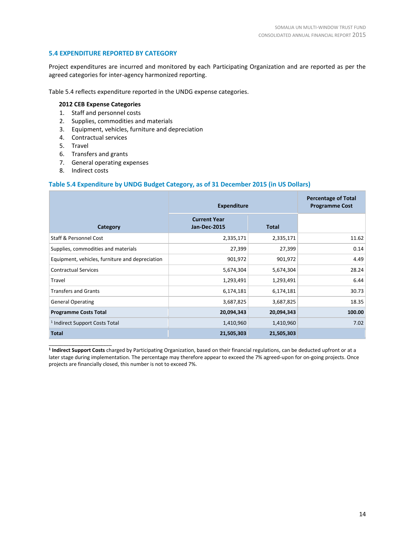# **5.4 EXPENDITURE REPORTED BY CATEGORY**

Project expenditures are incurred and monitored by each Participating Organization and are reported as per the agreed categories for inter-agency harmonized reporting.

Table 5.4 reflects expenditure reported in the UNDG expense categories.

# **2012 CEB Expense Categories**

- 1. Staff and personnel costs
- 2. Supplies, commodities and materials
- 3. Equipment, vehicles, furniture and depreciation
- 4. Contractual services
- 5. Travel
- 6. Transfers and grants
- 7. General operating expenses
- 8. Indirect costs

\_\_\_\_\_\_\_\_\_\_\_\_\_\_\_\_\_\_\_\_\_\_

#### **Table 5.4 Expenditure by UNDG Budget Category, as of 31 December 2015 (in US Dollars)**

|                                                 | <b>Expenditure</b>                         | <b>Percentage of Total</b><br><b>Programme Cost</b> |        |
|-------------------------------------------------|--------------------------------------------|-----------------------------------------------------|--------|
| Category                                        | <b>Current Year</b><br><b>Jan-Dec-2015</b> | <b>Total</b>                                        |        |
| <b>Staff &amp; Personnel Cost</b>               | 2,335,171                                  | 2,335,171                                           | 11.62  |
| Supplies, commodities and materials             | 27,399                                     | 27,399                                              | 0.14   |
| Equipment, vehicles, furniture and depreciation | 901,972                                    | 901,972                                             | 4.49   |
| <b>Contractual Services</b>                     | 5,674,304                                  | 5,674,304                                           | 28.24  |
| Travel                                          | 1,293,491                                  | 1,293,491                                           | 6.44   |
| <b>Transfers and Grants</b>                     | 6,174,181                                  | 6,174,181                                           | 30.73  |
| <b>General Operating</b>                        | 3,687,825                                  | 3,687,825                                           | 18.35  |
| <b>Programme Costs Total</b>                    | 20,094,343                                 | 20,094,343                                          | 100.00 |
| <sup>1</sup> Indirect Support Costs Total       | 1,410,960                                  | 1,410,960                                           | 7.02   |
| <b>Total</b>                                    | 21,505,303                                 | 21,505,303                                          |        |

**1 Indirect Support Costs** charged by Participating Organization, based on their financial regulations, can be deducted upfront or at a later stage during implementation. The percentage may therefore appear to exceed the 7% agreed-upon for on-going projects. Once projects are financially closed, this number is not to exceed 7%.